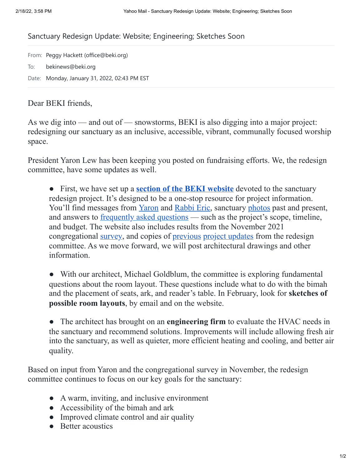## Sanctuary Redesign Update: Website; Engineering; Sketches Soon

From: Peggy Hackett (office@beki.org) To: bekinews@beki.org Date: Monday, January 31, 2022, 02:43 PM EST

## Dear BEKI friends,

As we dig into — and out of — snowstorms, BEKI is also digging into a major project: redesigning our sanctuary as an inclusive, accessible, vibrant, communally focused worship space.

President Yaron Lew has been keeping you posted on fundraising efforts. We, the redesign committee, have some updates as well.

● First, we have set up a **section of the BEKI [website](https://www.beki.org/sanctuary-redesign/)** devoted to the sanctuary redesign project. It's designed to be a one-stop resource for project information. You'll find messages from [Yaron](https://www.beki.org/president-message/) and [Rabbi](https://www.beki.org/rabbi-message/) Eric, sanctuary [photos](https://www.beki.org/sanctuary-photos/) past and present, and answers to <u>[frequently](https://www.beki.org/frequently-asked-questions/) asked questions</u> — such as the project's scope, timeline, and budget. The website also includes results from the November 2021 congregational [survey,](https://www.beki.org/wp-content/uploads/Summary-of-BEKI-Sanctuary-Redesign-Survey-12.12.2021.pdf) and copies of <u>[previous](https://www.beki.org/project-updates/) project [updates](https://www.beki.org/project-updates/)</u> from the redesign committee. As we move forward, we will post architectural drawings and other information.

• With our architect, Michael Goldblum, the committee is exploring fundamental questions about the room layout. These questions include what to do with the bimah and the placement of seats, ark, and reader's table. In February, look for **sketches of possible room layouts**, by email and on the website.

● The architect has brought on an **engineering firm** to evaluate the HVAC needs in the sanctuary and recommend solutions. Improvements will include allowing fresh air into the sanctuary, as well as quieter, more efficient heating and cooling, and better air quality.

Based on input from Yaron and the congregational survey in November, the redesign committee continues to focus on our key goals for the sanctuary:

- A warm, inviting, and inclusive environment
- Accessibility of the bimah and ark
- Improved climate control and air quality
- Better acoustics